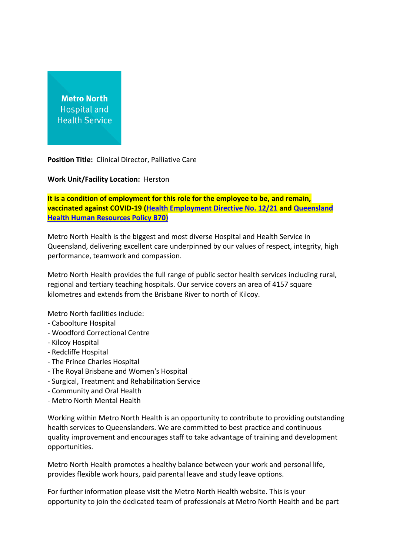## **Metro North Hospital and Health Service**

**Position Title:** Clinical Director, Palliative Care

**Work Unit/Facility Location:** Herston

**It is a condition of employment for this role for the employee to be, and remain, vaccinated against COVID-19 [\(Health Employment Directive No. 12/21](https://www.health.qld.gov.au/__data/assets/pdf_file/0022/1108453/hed-1221.pdf) and [Queensland](https://www.health.qld.gov.au/__data/assets/pdf_file/0024/1108446/qh-pol-486.pdf)  [Health Human Resources Policy B70\)](https://www.health.qld.gov.au/__data/assets/pdf_file/0024/1108446/qh-pol-486.pdf)**

Metro North Health is the biggest and most diverse Hospital and Health Service in Queensland, delivering excellent care underpinned by our values of respect, integrity, high performance, teamwork and compassion.

Metro North Health provides the full range of public sector health services including rural, regional and tertiary teaching hospitals. Our service covers an area of 4157 square kilometres and extends from the Brisbane River to north of Kilcoy.

Metro North facilities include:

- Caboolture Hospital
- Woodford Correctional Centre
- Kilcoy Hospital
- Redcliffe Hospital
- The Prince Charles Hospital
- The Royal Brisbane and Women's Hospital
- Surgical, Treatment and Rehabilitation Service
- Community and Oral Health
- Metro North Mental Health

Working within Metro North Health is an opportunity to contribute to providing outstanding health services to Queenslanders. We are committed to best practice and continuous quality improvement and encourages staff to take advantage of training and development opportunities.

Metro North Health promotes a healthy balance between your work and personal life, provides flexible work hours, paid parental leave and study leave options.

For further information please visit the Metro North Health website. This is your opportunity to join the dedicated team of professionals at Metro North Health and be part